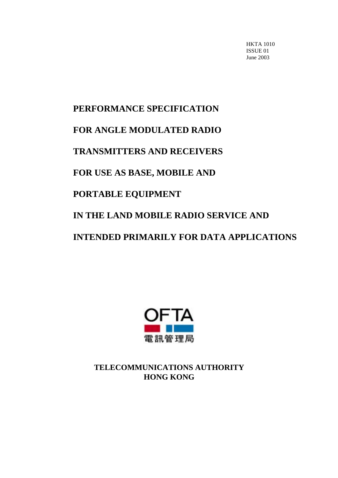HKTA 1010 ISSUE 01 June 2003

# **PERFORMANCE SPECIFICATION FOR ANGLE MODULATED RADIO TRANSMITTERS AND RECEIVERS FOR USE AS BASE, MOBILE AND PORTABLE EQUIPMENT IN THE LAND MOBILE RADIO SERVICE AND INTENDED PRIMARILY FOR DATA APPLICATIONS**



**TELECOMMUNICATIONS AUTHORITY HONG KONG**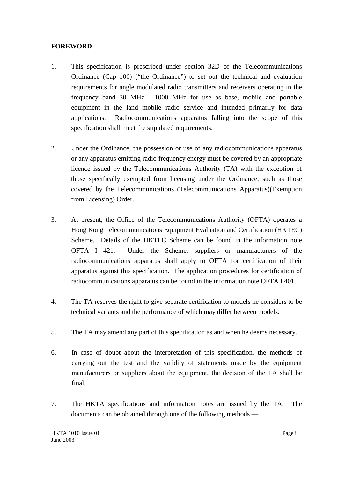# **FOREWORD**

- 1. This specification is prescribed under section 32D of the Telecommunications Ordinance (Cap 106) ("the Ordinance") to set out the technical and evaluation requirements for angle modulated radio transmitters and receivers operating in the frequency band 30 MHz - 1000 MHz for use as base, mobile and portable equipment in the land mobile radio service and intended primarily for data applications. Radiocommunications apparatus falling into the scope of this specification shall meet the stipulated requirements.
- 2. Under the Ordinance, the possession or use of any radiocommunications apparatus or any apparatus emitting radio frequency energy must be covered by an appropriate licence issued by the Telecommunications Authority (TA) with the exception of those specifically exempted from licensing under the Ordinance, such as those covered by the Telecommunications (Telecommunications Apparatus)(Exemption from Licensing) Order.
- 3. At present, the Office of the Telecommunications Authority (OFTA) operates a Hong Kong Telecommunications Equipment Evaluation and Certification (HKTEC) Scheme. Details of the HKTEC Scheme can be found in the information note OFTA I 421. Under the Scheme, suppliers or manufacturers of the radiocommunications apparatus shall apply to OFTA for certification of their apparatus against this specification. The application procedures for certification of radiocommunications apparatus can be found in the information note OFTA I 401.
- 4. The TA reserves the right to give separate certification to models he considers to be technical variants and the performance of which may differ between models.
- 5. The TA may amend any part of this specification as and when he deems necessary.
- 6. In case of doubt about the interpretation of this specification, the methods of carrying out the test and the validity of statements made by the equipment manufacturers or suppliers about the equipment, the decision of the TA shall be final.
- 7. The HKTA specifications and information notes are issued by the TA. The documents can be obtained through one of the following methods —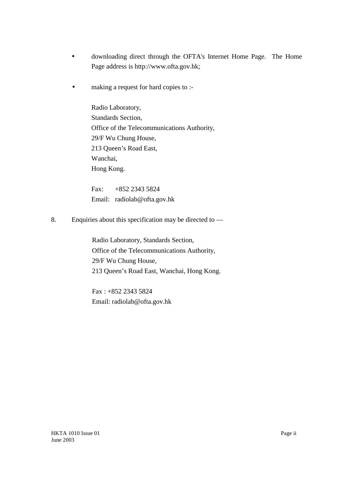- downloading direct through the OFTA's Internet Home Page. The Home Page address is http://www.ofta.gov.hk;
- making a request for hard copies to :-

Radio Laboratory, Standards Section, Office of the Telecommunications Authority, 29/F Wu Chung House, 213 Queen's Road East, Wanchai, Hong Kong.

Fax: +852 2343 5824 Email: radiolab@ofta.gov.hk

8. Enquiries about this specification may be directed to —

Radio Laboratory, Standards Section, Office of the Telecommunications Authority, 29/F Wu Chung House, 213 Queen's Road East, Wanchai, Hong Kong.

Fax : +852 2343 5824 Email: radiolab@ofta.gov.hk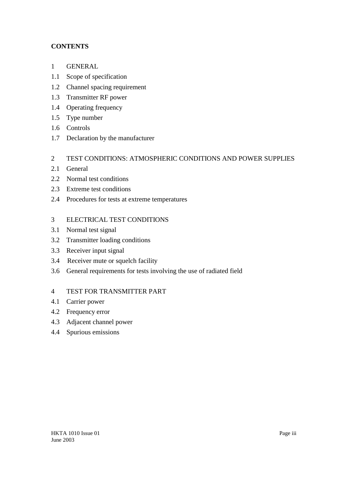# **CONTENTS**

- 1 GENERAL
- 1.1 Scope of specification
- 1.2 Channel spacing requirement
- 1.3 Transmitter RF power
- 1.4 Operating frequency
- 1.5 Type number
- 1.6 Controls
- 1.7 Declaration by the manufacturer
- 2 TEST CONDITIONS: ATMOSPHERIC CONDITIONS AND POWER SUPPLIES
- 2.1 General
- 2.2 Normal test conditions
- 2.3 Extreme test conditions
- 2.4 Procedures for tests at extreme temperatures
- 3 ELECTRICAL TEST CONDITIONS
- 3.1 Normal test signal
- 3.2 Transmitter loading conditions
- 3.3 Receiver input signal
- 3.4 Receiver mute or squelch facility
- 3.6 General requirements for tests involving the use of radiated field

# 4 TEST FOR TRANSMITTER PART

- 4.1 Carrier power
- 4.2 Frequency error
- 4.3 Adjacent channel power
- 4.4 Spurious emissions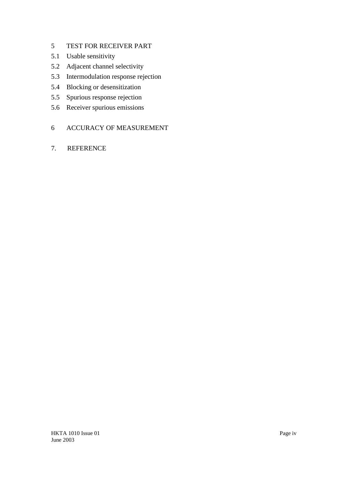# 5 TEST FOR RECEIVER PART

- 5.1 Usable sensitivity
- 5.2 Adjacent channel selectivity
- 5.3 Intermodulation response rejection
- 5.4 Blocking or desensitization
- 5.5 Spurious response rejection
- 5.6 Receiver spurious emissions

## 6 ACCURACY OF MEASUREMENT

7. REFERENCE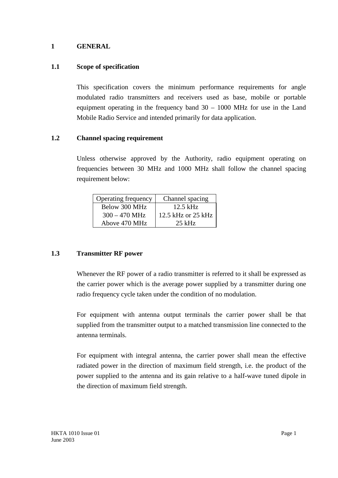## **1 GENERAL**

## **1.1 Scope of specification**

This specification covers the minimum performance requirements for angle modulated radio transmitters and receivers used as base, mobile or portable equipment operating in the frequency band 30 – 1000 MHz for use in the Land Mobile Radio Service and intended primarily for data application.

#### **1.2 Channel spacing requirement**

Unless otherwise approved by the Authority, radio equipment operating on frequencies between 30 MHz and 1000 MHz shall follow the channel spacing requirement below:

| Operating frequency | Channel spacing    |
|---------------------|--------------------|
| Below 300 MHz       | $12.5$ kHz         |
| $300 - 470$ MHz     | 12.5 kHz or 25 kHz |
| Above 470 MHz       | $25$ kHz           |

#### **1.3 Transmitter RF power**

Whenever the RF power of a radio transmitter is referred to it shall be expressed as the carrier power which is the average power supplied by a transmitter during one radio frequency cycle taken under the condition of no modulation.

For equipment with antenna output terminals the carrier power shall be that supplied from the transmitter output to a matched transmission line connected to the antenna terminals.

For equipment with integral antenna, the carrier power shall mean the effective radiated power in the direction of maximum field strength, i.e. the product of the power supplied to the antenna and its gain relative to a half-wave tuned dipole in the direction of maximum field strength.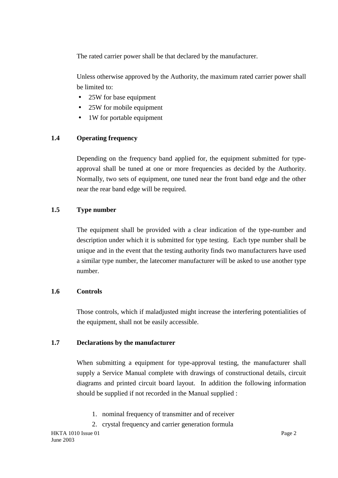The rated carrier power shall be that declared by the manufacturer.

Unless otherwise approved by the Authority, the maximum rated carrier power shall be limited to:

- 25W for base equipment
- 25W for mobile equipment
- 1W for portable equipment

# **1.4 Operating frequency**

Depending on the frequency band applied for, the equipment submitted for typeapproval shall be tuned at one or more frequencies as decided by the Authority. Normally, two sets of equipment, one tuned near the front band edge and the other near the rear band edge will be required.

# **1.5 Type number**

The equipment shall be provided with a clear indication of the type-number and description under which it is submitted for type testing. Each type number shall be unique and in the event that the testing authority finds two manufacturers have used a similar type number, the latecomer manufacturer will be asked to use another type number.

# **1.6 Controls**

Those controls, which if maladjusted might increase the interfering potentialities of the equipment, shall not be easily accessible.

# **1.7 Declarations by the manufacturer**

When submitting a equipment for type-approval testing, the manufacturer shall supply a Service Manual complete with drawings of constructional details, circuit diagrams and printed circuit board layout. In addition the following information should be supplied if not recorded in the Manual supplied :

- 1. nominal frequency of transmitter and of receiver
- 2. crystal frequency and carrier generation formula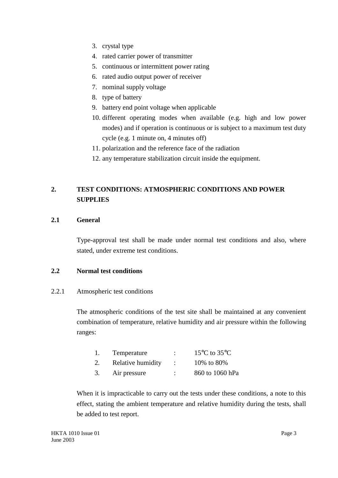- 3. crystal type
- 4. rated carrier power of transmitter
- 5. continuous or intermittent power rating
- 6. rated audio output power of receiver
- 7. nominal supply voltage
- 8. type of battery
- 9. battery end point voltage when applicable
- 10. different operating modes when available (e.g. high and low power modes) and if operation is continuous or is subject to a maximum test duty cycle (e.g. 1 minute on, 4 minutes off)
- 11. polarization and the reference face of the radiation
- 12. any temperature stabilization circuit inside the equipment.

# **2. TEST CONDITIONS: ATMOSPHERIC CONDITIONS AND POWER SUPPLIES**

# **2.1 General**

Type-approval test shall be made under normal test conditions and also, where stated, under extreme test conditions.

# **2.2 Normal test conditions**

# 2.2.1 Atmospheric test conditions

The atmospheric conditions of the test site shall be maintained at any convenient combination of temperature, relative humidity and air pressure within the following ranges:

| Temperature       | $15^{\circ}$ C to $35^{\circ}$ C |
|-------------------|----------------------------------|
| Relative humidity | 10\% to 80\%                     |
| Air pressure      | 860 to 1060 hPa                  |

When it is impracticable to carry out the tests under these conditions, a note to this effect, stating the ambient temperature and relative humidity during the tests, shall be added to test report.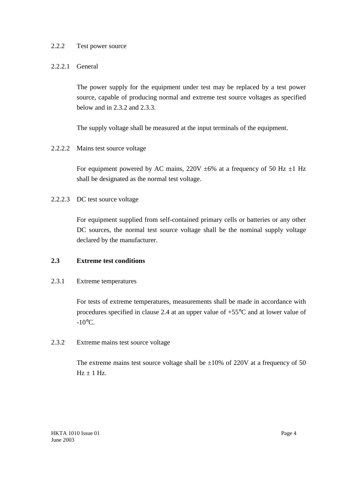# 2.2.2 Test power source

## 2.2.2.1 General

The power supply for the equipment under test may be replaced by a test power source, capable of producing normal and extreme test source voltages as specified below and in 2.3.2 and 2.3.3.

The supply voltage shall be measured at the input terminals of the equipment.

2.2.2.2 Mains test source voltage

For equipment powered by AC mains,  $220V \pm 6\%$  at a frequency of 50 Hz  $\pm 1$  Hz shall be designated as the normal test voltage.

2.2.2.3 DC test source voltage

For equipment supplied from self-contained primary cells or batteries or any other DC sources, the normal test source voltage shall be the nominal supply voltage declared by the manufacturer.

## **2.3 Extreme test conditions**

#### 2.3.1 Extreme temperatures

For tests of extreme temperatures, measurements shall be made in accordance with procedures specified in clause 2.4 at an upper value of +55°C and at lower value of  $-10^{\circ}$ C.

# 2.3.2 Extreme mains test source voltage

The extreme mains test source voltage shall be  $\pm 10\%$  of 220V at a frequency of 50  $Hz + 1 Hz$ .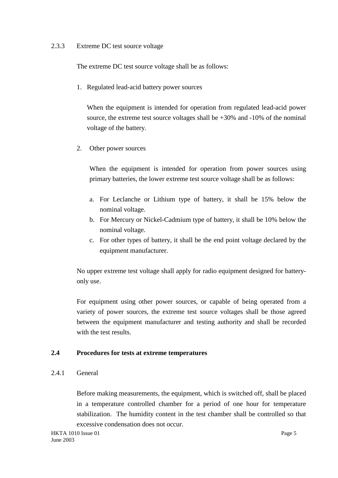#### 2.3.3 Extreme DC test source voltage

The extreme DC test source voltage shall be as follows:

1. Regulated lead-acid battery power sources

When the equipment is intended for operation from regulated lead-acid power source, the extreme test source voltages shall be +30% and -10% of the nominal voltage of the battery.

2. Other power sources

When the equipment is intended for operation from power sources using primary batteries, the lower extreme test source voltage shall be as follows:

- a. For Leclanche or Lithium type of battery, it shall be 15% below the nominal voltage.
- b. For Mercury or Nickel-Cadmium type of battery, it shall be 10% below the nominal voltage.
- c. For other types of battery, it shall be the end point voltage declared by the equipment manufacturer.

No upper extreme test voltage shall apply for radio equipment designed for batteryonly use.

For equipment using other power sources, or capable of being operated from a variety of power sources, the extreme test source voltages shall be those agreed between the equipment manufacturer and testing authority and shall be recorded with the test results.

# **2.4 Procedures for tests at extreme temperatures**

#### 2.4.1 General

Before making measurements, the equipment, which is switched off, shall be placed in a temperature controlled chamber for a period of one hour for temperature stabilization. The humidity content in the test chamber shall be controlled so that excessive condensation does not occur.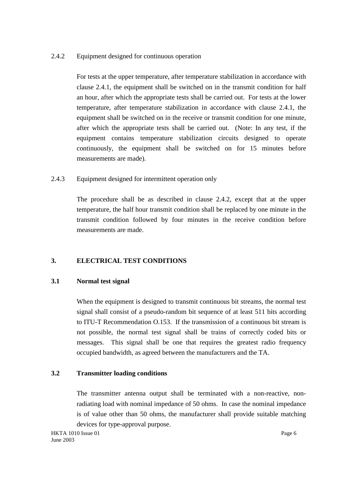# 2.4.2 Equipment designed for continuous operation

For tests at the upper temperature, after temperature stabilization in accordance with clause 2.4.1, the equipment shall be switched on in the transmit condition for half an hour, after which the appropriate tests shall be carried out. For tests at the lower temperature, after temperature stabilization in accordance with clause 2.4.1, the equipment shall be switched on in the receive or transmit condition for one minute, after which the appropriate tests shall be carried out. (Note: In any test, if the equipment contains temperature stabilization circuits designed to operate continuously, the equipment shall be switched on for 15 minutes before measurements are made).

# 2.4.3 Equipment designed for intermittent operation only

The procedure shall be as described in clause 2.4.2, except that at the upper temperature, the half hour transmit condition shall be replaced by one minute in the transmit condition followed by four minutes in the receive condition before measurements are made.

# **3. ELECTRICAL TEST CONDITIONS**

# **3.1 Normal test signal**

When the equipment is designed to transmit continuous bit streams, the normal test signal shall consist of a pseudo-random bit sequence of at least 511 bits according to ITU-T Recommendation O.153. If the transmission of a continuous bit stream is not possible, the normal test signal shall be trains of correctly coded bits or messages. This signal shall be one that requires the greatest radio frequency occupied bandwidth, as agreed between the manufacturers and the TA.

# **3.2 Transmitter loading conditions**

The transmitter antenna output shall be terminated with a non-reactive, nonradiating load with nominal impedance of 50 ohms. In case the nominal impedance is of value other than 50 ohms, the manufacturer shall provide suitable matching devices for type-approval purpose.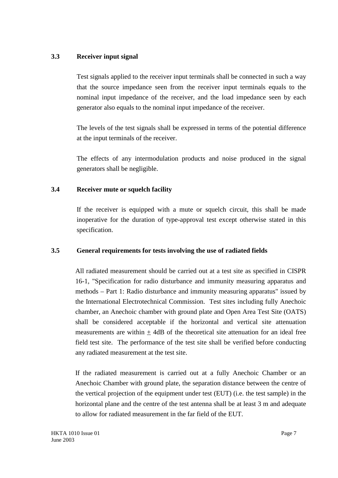# **3.3 Receiver input signal**

Test signals applied to the receiver input terminals shall be connected in such a way that the source impedance seen from the receiver input terminals equals to the nominal input impedance of the receiver, and the load impedance seen by each generator also equals to the nominal input impedance of the receiver.

The levels of the test signals shall be expressed in terms of the potential difference at the input terminals of the receiver.

The effects of any intermodulation products and noise produced in the signal generators shall be negligible.

# **3.4 Receiver mute or squelch facility**

If the receiver is equipped with a mute or squelch circuit, this shall be made inoperative for the duration of type-approval test except otherwise stated in this specification.

# **3.5 General requirements for tests involving the use of radiated fields**

All radiated measurement should be carried out at a test site as specified in CISPR 16-1, "Specification for radio disturbance and immunity measuring apparatus and methods – Part 1: Radio disturbance and immunity measuring apparatus" issued by the International Electrotechnical Commission. Test sites including fully Anechoic chamber, an Anechoic chamber with ground plate and Open Area Test Site (OATS) shall be considered acceptable if the horizontal and vertical site attenuation measurements are within  $+4dB$  of the theoretical site attenuation for an ideal free field test site. The performance of the test site shall be verified before conducting any radiated measurement at the test site.

If the radiated measurement is carried out at a fully Anechoic Chamber or an Anechoic Chamber with ground plate, the separation distance between the centre of the vertical projection of the equipment under test (EUT) (i.e. the test sample) in the horizontal plane and the centre of the test antenna shall be at least 3 m and adequate to allow for radiated measurement in the far field of the EUT.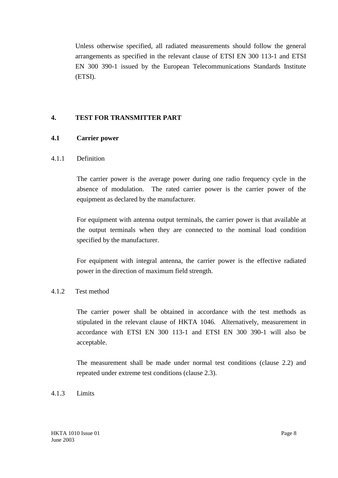Unless otherwise specified, all radiated measurements should follow the general arrangements as specified in the relevant clause of ETSI EN 300 113-1 and ETSI EN 300 390-1 issued by the European Telecommunications Standards Institute (ETSI).

# **4. TEST FOR TRANSMITTER PART**

#### **4.1 Carrier power**

#### 4.1.1 Definition

The carrier power is the average power during one radio frequency cycle in the absence of modulation. The rated carrier power is the carrier power of the equipment as declared by the manufacturer.

For equipment with antenna output terminals, the carrier power is that available at the output terminals when they are connected to the nominal load condition specified by the manufacturer.

For equipment with integral antenna, the carrier power is the effective radiated power in the direction of maximum field strength.

# 4.1.2 Test method

The carrier power shall be obtained in accordance with the test methods as stipulated in the relevant clause of HKTA 1046. Alternatively, measurement in accordance with ETSI EN 300 113-1 and ETSI EN 300 390-1 will also be acceptable.

The measurement shall be made under normal test conditions (clause 2.2) and repeated under extreme test conditions (clause 2.3).

#### 4.1.3 Limits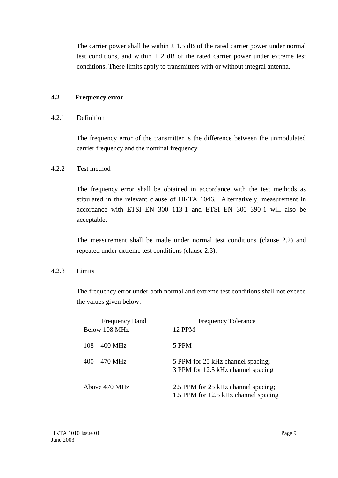The carrier power shall be within  $\pm$  1.5 dB of the rated carrier power under normal test conditions, and within  $\pm 2$  dB of the rated carrier power under extreme test conditions. These limits apply to transmitters with or without integral antenna.

## **4.2 Frequency error**

#### 4.2.1 Definition

The frequency error of the transmitter is the difference between the unmodulated carrier frequency and the nominal frequency.

# 4.2.2 Test method

The frequency error shall be obtained in accordance with the test methods as stipulated in the relevant clause of HKTA 1046. Alternatively, measurement in accordance with ETSI EN 300 113-1 and ETSI EN 300 390-1 will also be acceptable.

The measurement shall be made under normal test conditions (clause 2.2) and repeated under extreme test conditions (clause 2.3).

#### 4.2.3 Limits

The frequency error under both normal and extreme test conditions shall not exceed the values given below:

| <b>Frequency Band</b> | <b>Frequency Tolerance</b>                                                  |
|-----------------------|-----------------------------------------------------------------------------|
| Below 108 MHz         | <b>12 PPM</b>                                                               |
| $108 - 400$ MHz       | 5 PPM                                                                       |
| $400 - 470$ MHz       | 5 PPM for 25 kHz channel spacing;<br>3 PPM for 12.5 kHz channel spacing     |
| Above 470 MHz         | 2.5 PPM for 25 kHz channel spacing;<br>1.5 PPM for 12.5 kHz channel spacing |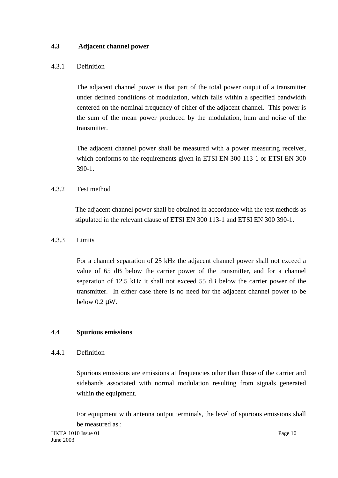# **4.3 Adjacent channel power**

# 4.3.1 Definition

The adjacent channel power is that part of the total power output of a transmitter under defined conditions of modulation, which falls within a specified bandwidth centered on the nominal frequency of either of the adjacent channel. This power is the sum of the mean power produced by the modulation, hum and noise of the transmitter.

The adjacent channel power shall be measured with a power measuring receiver, which conforms to the requirements given in ETSI EN 300 113-1 or ETSI EN 300 390-1.

# 4.3.2 Test method

The adjacent channel power shall be obtained in accordance with the test methods as stipulated in the relevant clause of ETSI EN 300 113-1 and ETSI EN 300 390-1.

# 4.3.3 Limits

For a channel separation of 25 kHz the adjacent channel power shall not exceed a value of 65 dB below the carrier power of the transmitter, and for a channel separation of 12.5 kHz it shall not exceed 55 dB below the carrier power of the transmitter. In either case there is no need for the adjacent channel power to be below 0.2 µW.

# 4.4 **Spurious emissions**

# 4.4.1 Definition

Spurious emissions are emissions at frequencies other than those of the carrier and sidebands associated with normal modulation resulting from signals generated within the equipment.

For equipment with antenna output terminals, the level of spurious emissions shall be measured as :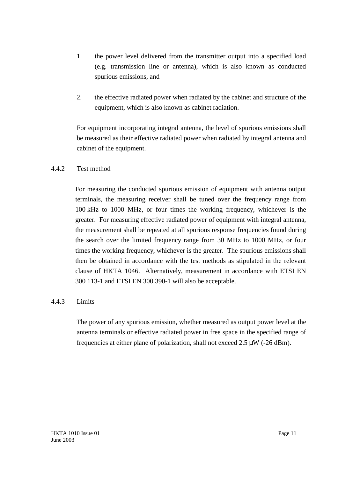- 1. the power level delivered from the transmitter output into a specified load (e.g. transmission line or antenna), which is also known as conducted spurious emissions, and
- 2. the effective radiated power when radiated by the cabinet and structure of the equipment, which is also known as cabinet radiation.

For equipment incorporating integral antenna, the level of spurious emissions shall be measured as their effective radiated power when radiated by integral antenna and cabinet of the equipment.

# 4.4.2 Test method

For measuring the conducted spurious emission of equipment with antenna output terminals, the measuring receiver shall be tuned over the frequency range from 100 kHz to 1000 MHz, or four times the working frequency, whichever is the greater. For measuring effective radiated power of equipment with integral antenna, the measurement shall be repeated at all spurious response frequencies found during the search over the limited frequency range from 30 MHz to 1000 MHz, or four times the working frequency, whichever is the greater. The spurious emissions shall then be obtained in accordance with the test methods as stipulated in the relevant clause of HKTA 1046. Alternatively, measurement in accordance with ETSI EN 300 113-1 and ETSI EN 300 390-1 will also be acceptable.

#### 4.4.3 Limits

The power of any spurious emission, whether measured as output power level at the antenna terminals or effective radiated power in free space in the specified range of frequencies at either plane of polarization, shall not exceed  $2.5 \mu W$  (-26 dBm).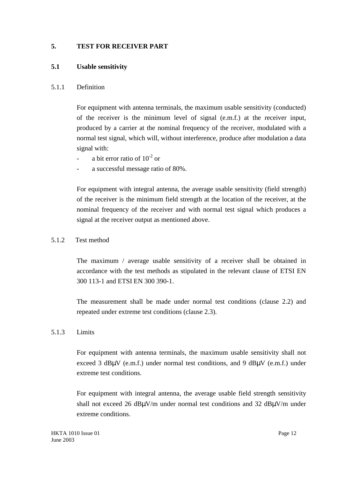# **5. TEST FOR RECEIVER PART**

# **5.1 Usable sensitivity**

# 5.1.1 Definition

For equipment with antenna terminals, the maximum usable sensitivity (conducted) of the receiver is the minimum level of signal (e.m.f.) at the receiver input, produced by a carrier at the nominal frequency of the receiver, modulated with a normal test signal, which will, without interference, produce after modulation a data signal with:

- a bit error ratio of  $10^{-2}$  or
- a successful message ratio of 80%.

For equipment with integral antenna, the average usable sensitivity (field strength) of the receiver is the minimum field strength at the location of the receiver, at the nominal frequency of the receiver and with normal test signal which produces a signal at the receiver output as mentioned above.

# 5.1.2 Test method

The maximum / average usable sensitivity of a receiver shall be obtained in accordance with the test methods as stipulated in the relevant clause of ETSI EN 300 113-1 and ETSI EN 300 390-1.

The measurement shall be made under normal test conditions (clause 2.2) and repeated under extreme test conditions (clause 2.3).

# 5.1.3 Limits

For equipment with antenna terminals, the maximum usable sensitivity shall not exceed 3 dBµV (e.m.f.) under normal test conditions, and 9 dBµV (e.m.f.) under extreme test conditions.

For equipment with integral antenna, the average usable field strength sensitivity shall not exceed 26 dBµV/m under normal test conditions and 32 dBµV/m under extreme conditions.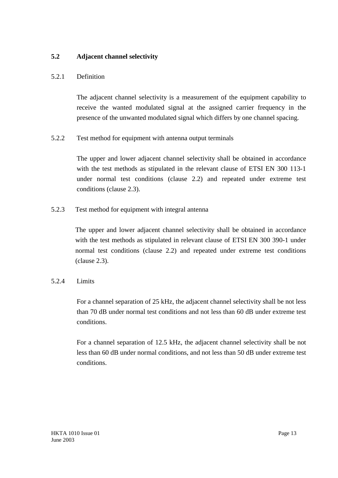# **5.2 Adjacent channel selectivity**

# 5.2.1 Definition

The adjacent channel selectivity is a measurement of the equipment capability to receive the wanted modulated signal at the assigned carrier frequency in the presence of the unwanted modulated signal which differs by one channel spacing.

5.2.2 Test method for equipment with antenna output terminals

The upper and lower adjacent channel selectivity shall be obtained in accordance with the test methods as stipulated in the relevant clause of ETSI EN 300 113-1 under normal test conditions (clause 2.2) and repeated under extreme test conditions (clause 2.3).

5.2.3 Test method for equipment with integral antenna

The upper and lower adjacent channel selectivity shall be obtained in accordance with the test methods as stipulated in relevant clause of ETSI EN 300 390-1 under normal test conditions (clause 2.2) and repeated under extreme test conditions (clause 2.3).

# 5.2.4 Limits

For a channel separation of 25 kHz, the adjacent channel selectivity shall be not less than 70 dB under normal test conditions and not less than 60 dB under extreme test conditions.

For a channel separation of 12.5 kHz, the adjacent channel selectivity shall be not less than 60 dB under normal conditions, and not less than 50 dB under extreme test conditions.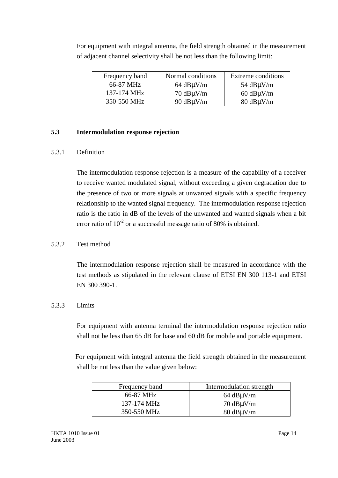| Frequency band | Normal conditions                   | Extreme conditions                     |
|----------------|-------------------------------------|----------------------------------------|
| 66-87 MHz      | $64$ dB $\mu$ V/m                   | 54 $dB\mu V/m$                         |
| 137-174 MHz    | $70 \text{ dB}\mu\text{V}\text{/m}$ | $60$ dB $\mu$ V/m                      |
| 350-550 MHz    | 90 $dB\mu V/m$                      | $80 \text{ dB} \mu\text{V} / \text{m}$ |

For equipment with integral antenna, the field strength obtained in the measurement of adjacent channel selectivity shall be not less than the following limit:

## **5.3 Intermodulation response rejection**

#### 5.3.1 Definition

The intermodulation response rejection is a measure of the capability of a receiver to receive wanted modulated signal, without exceeding a given degradation due to the presence of two or more signals at unwanted signals with a specific frequency relationship to the wanted signal frequency. The intermodulation response rejection ratio is the ratio in dB of the levels of the unwanted and wanted signals when a bit error ratio of  $10^{-2}$  or a successful message ratio of 80% is obtained.

# 5.3.2 Test method

The intermodulation response rejection shall be measured in accordance with the test methods as stipulated in the relevant clause of ETSI EN 300 113-1 and ETSI EN 300 390-1.

# 5.3.3 Limits

For equipment with antenna terminal the intermodulation response rejection ratio shall not be less than 65 dB for base and 60 dB for mobile and portable equipment.

For equipment with integral antenna the field strength obtained in the measurement shall be not less than the value given below:

| Frequency band | Intermodulation strength       |
|----------------|--------------------------------|
| 66-87 MHz      | $64$ dB $\mu$ V/m              |
| 137-174 MHz    | $70 \text{ dB} \mu\text{V}$ /m |
| 350-550 MHz    | $80 \text{ dB}$ uV/m           |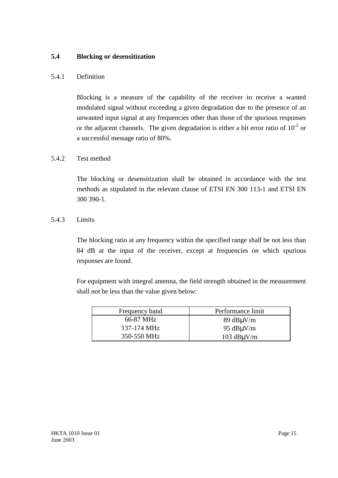# **5.4 Blocking or desensitization**

#### 5.4.1 Definition

Blocking is a measure of the capability of the receiver to receive a wanted modulated signal without exceeding a given degradation due to the presence of an unwanted input signal at any frequencies other than those of the spurious responses or the adjacent channels. The given degradation is either a bit error ratio of  $10^{-2}$  or a successful message ratio of 80%.

# 5.4.2 Test method

The blocking or desensitization shall be obtained in accordance with the test methods as stipulated in the relevant clause of ETSI EN 300 113-1 and ETSI EN 300 390-1.

#### 5.4.3 Limits

The blocking ratio at any frequency within the specified range shall be not less than 84 dB at the input of the receiver, except at frequencies on which spurious responses are found.

For equipment with integral antenna, the field strength obtained in the measurement shall not be less than the value given below:

| Frequency band | Performance limit                   |
|----------------|-------------------------------------|
| 66-87 MHz      | $89 \text{ dB}\mu\text{V}\text{/m}$ |
| 137-174 MHz    | 95 $dB\mu V/m$                      |
| 350-550 MHz    | 103 $dB\mu V/m$                     |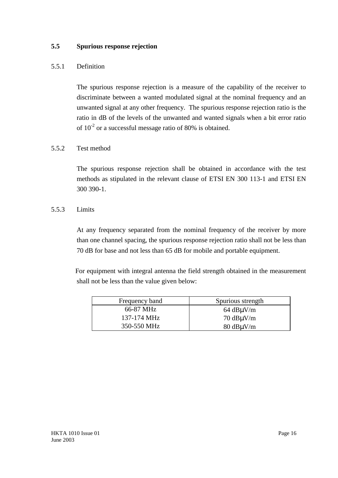# **5.5 Spurious response rejection**

# 5.5.1 Definition

The spurious response rejection is a measure of the capability of the receiver to discriminate between a wanted modulated signal at the nominal frequency and an unwanted signal at any other frequency. The spurious response rejection ratio is the ratio in dB of the levels of the unwanted and wanted signals when a bit error ratio of  $10^{-2}$  or a successful message ratio of 80% is obtained.

#### 5.5.2 Test method

The spurious response rejection shall be obtained in accordance with the test methods as stipulated in the relevant clause of ETSI EN 300 113-1 and ETSI EN 300 390-1.

# 5.5.3 Limits

At any frequency separated from the nominal frequency of the receiver by more than one channel spacing, the spurious response rejection ratio shall not be less than 70 dB for base and not less than 65 dB for mobile and portable equipment.

For equipment with integral antenna the field strength obtained in the measurement shall not be less than the value given below:

| Frequency band | Spurious strength                   |
|----------------|-------------------------------------|
| 66-87 MHz      | $64$ dB $\mu$ V/m                   |
| 137-174 MHz    | $70 \text{ dB}\mu\text{V}\text{/m}$ |
| 350-550 MHz    | $80 \text{ dB}$ uV/m                |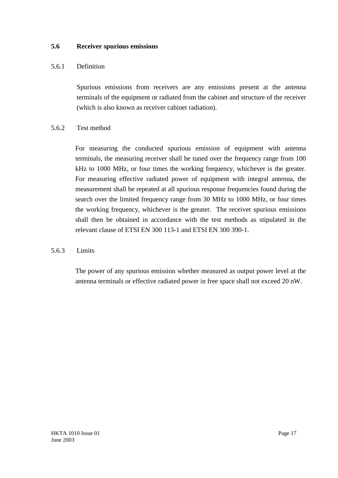#### **5.6 Receiver spurious emissions**

#### 5.6.1 Definition

Spurious emissions from receivers are any emissions present at the antenna terminals of the equipment or radiated from the cabinet and structure of the receiver (which is also known as receiver cabinet radiation).

#### 5.6.2 Test method

For measuring the conducted spurious emission of equipment with antenna terminals, the measuring receiver shall be tuned over the frequency range from 100 kHz to 1000 MHz, or four times the working frequency, whichever is the greater. For measuring effective radiated power of equipment with integral antenna, the measurement shall be repeated at all spurious response frequencies found during the search over the limited frequency range from 30 MHz to 1000 MHz, or four times the working frequency, whichever is the greater. The receiver spurious emissions shall then be obtained in accordance with the test methods as stipulated in the relevant clause of ETSI EN 300 113-1 and ETSI EN 300 390-1.

#### 5.6.3 Limits

The power of any spurious emission whether measured as output power level at the antenna terminals or effective radiated power in free space shall not exceed 20 nW.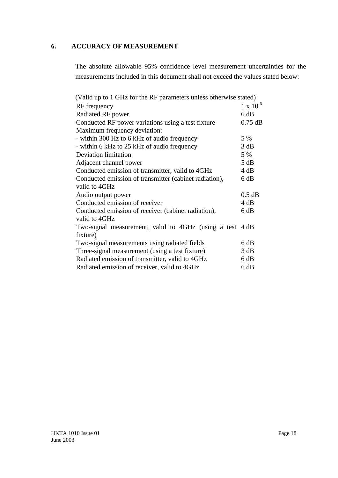# **6. ACCURACY OF MEASUREMENT**

The absolute allowable 95% confidence level measurement uncertainties for the measurements included in this document shall not exceed the values stated below:

| (Valid up to 1 GHz for the RF parameters unless otherwise stated) |                    |
|-------------------------------------------------------------------|--------------------|
| RF frequency                                                      | $1 \times 10^{-6}$ |
| Radiated RF power                                                 | 6 dB               |
| Conducted RF power variations using a test fixture                | $0.75$ dB          |
| Maximum frequency deviation:                                      |                    |
| - within 300 Hz to 6 kHz of audio frequency                       | 5 %                |
| - within 6 kHz to 25 kHz of audio frequency                       | 3 dB               |
| <b>Deviation limitation</b>                                       | 5 %                |
| Adjacent channel power                                            | 5 dB               |
| Conducted emission of transmitter, valid to 4GHz                  | 4 dB               |
| Conducted emission of transmitter (cabinet radiation),            |                    |
| valid to 4GHz                                                     |                    |
| Audio output power                                                | $0.5$ dB           |
| Conducted emission of receiver                                    | 4 dB               |
| Conducted emission of receiver (cabinet radiation),               |                    |
| valid to 4GHz                                                     |                    |
| Two-signal measurement, valid to 4GHz (using a test 4 dB)         |                    |
| fixture)                                                          |                    |
| Two-signal measurements using radiated fields                     | 6 dB               |
| Three-signal measurement (using a test fixture)                   | 3 dB               |
| Radiated emission of transmitter, valid to 4GHz                   | 6 dB               |
| Radiated emission of receiver, valid to 4GHz                      | 6 dB               |